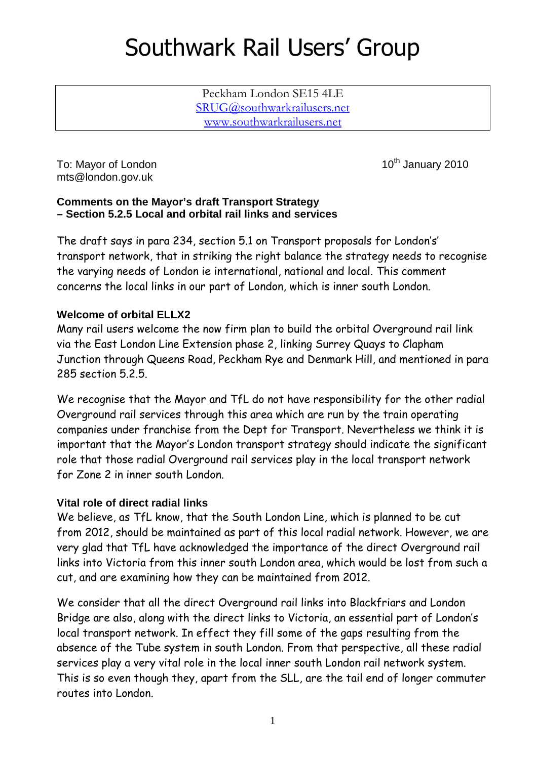# Southwark Rail Users' Group

Peckham London SE15 4LE SRUG@southwarkrailusers.net www.southwarkrailusers.net

To: Mayor of London 10th January 2010 mts@london.gov.uk

### **Comments on the Mayor's draft Transport Strategy – Section 5.2.5 Local and orbital rail links and services**

The draft says in para 234, section 5.1 on Transport proposals for London's' transport network, that in striking the right balance the strategy needs to recognise the varying needs of London ie international, national and local. This comment concerns the local links in our part of London, which is inner south London.

# **Welcome of orbital ELLX2**

Many rail users welcome the now firm plan to build the orbital Overground rail link via the East London Line Extension phase 2, linking Surrey Quays to Clapham Junction through Queens Road, Peckham Rye and Denmark Hill, and mentioned in para 285 section 5.2.5.

We recognise that the Mayor and TfL do not have responsibility for the other radial Overground rail services through this area which are run by the train operating companies under franchise from the Dept for Transport. Nevertheless we think it is important that the Mayor's London transport strategy should indicate the significant role that those radial Overground rail services play in the local transport network for Zone 2 in inner south London.

## **Vital role of direct radial links**

We believe, as TfL know, that the South London Line, which is planned to be cut from 2012, should be maintained as part of this local radial network. However, we are very glad that TfL have acknowledged the importance of the direct Overground rail links into Victoria from this inner south London area, which would be lost from such a cut, and are examining how they can be maintained from 2012.

We consider that all the direct Overground rail links into Blackfriars and London Bridge are also, along with the direct links to Victoria, an essential part of London's local transport network. In effect they fill some of the gaps resulting from the absence of the Tube system in south London. From that perspective, all these radial services play a very vital role in the local inner south London rail network system. This is so even though they, apart from the SLL, are the tail end of longer commuter routes into London.